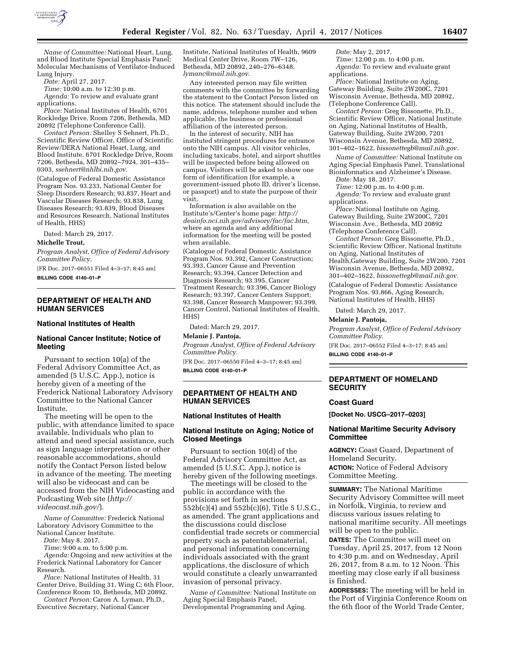

*Name of Committee:* National Heart, Lung, and Blood Institute Special Emphasis Panel; Molecular Mechanisms of Ventilator-Induced Lung Injury.

*Date:* April 27, 2017.

*Time:* 10:00 a.m. to 12:30 p.m.

*Agenda:* To review and evaluate grant applications.

*Place:* National Institutes of Health, 6701 Rockledge Drive, Room 7206, Bethesda, MD 20892 (Telephone Conference Call).

*Contact Person:* Shelley S Sehnert, Ph.D., Scientific Review Officer, Office of Scientific Review/DERA National Heart, Lung, and Blood Institute, 6701 Rockledge Drive, Room 7206, Bethesda, MD 20892–7924, 301–435– 0303, *[ssehnert@nhlbi.nih.gov.](mailto:ssehnert@nhlbi.nih.gov)* 

(Catalogue of Federal Domestic Assistance Program Nos. 93.233, National Center for Sleep Disorders Research; 93.837, Heart and Vascular Diseases Research; 93.838, Lung Diseases Research; 93.839, Blood Diseases and Resources Research, National Institutes of Health, HHS)

Dated: March 29, 2017.

**Michelle Trout,** 

*Program Analyst, Office of Federal Advisory Committee Policy.* 

[FR Doc. 2017–06551 Filed 4–3–17; 8:45 am] **BILLING CODE 4140–01–P** 

## **DEPARTMENT OF HEALTH AND HUMAN SERVICES**

#### **National Institutes of Health**

## **National Cancer Institute; Notice of Meeting**

Pursuant to section 10(a) of the Federal Advisory Committee Act, as amended (5 U.S.C. App.), notice is hereby given of a meeting of the Frederick National Laboratory Advisory Committee to the National Cancer Institute.

The meeting will be open to the public, with attendance limited to space available. Individuals who plan to attend and need special assistance, such as sign language interpretation or other reasonable accommodations, should notify the Contact Person listed below in advance of the meeting. The meeting will also be videocast and can be accessed from the NIH Videocasting and Podcasting Web site (*[http://](http://videocast.nih.gov/) [videocast.nih.gov/](http://videocast.nih.gov/)*).

*Name of Committee:* Frederick National Laboratory Advisory Committee to the National Cancer Institute.

*Date:* May 8, 2017.

*Time:* 9:00 a.m. to 5:00 p.m.

*Agenda:* Ongoing and new activities at the Frederick National Laboratory for Cancer Research.

*Place:* National Institutes of Health, 31 Center Drive, Building 31, Wing C; 6th Floor, Conference Room 10, Bethesda, MD 20892.

*Contact Person:* Caron A. Lyman, Ph.D., Executive Secretary, National Cancer

Institute, National Institutes of Health, 9609 Medical Center Drive, Room 7W–126, Bethesda, MD 20892, 240–276–6348, *[lymanc@mail.nih.gov](mailto:lymanc@mail.nih.gov)*.

Any interested person may file written comments with the committee by forwarding the statement to the Contact Person listed on this notice. The statement should include the name, address, telephone number and when applicable, the business or professional affiliation of the interested person.

In the interest of security, NIH has instituted stringent procedures for entrance onto the NIH campus. All visitor vehicles, including taxicabs, hotel, and airport shuttles will be inspected before being allowed on campus. Visitors will be asked to show one form of identification (for example, a government-issued photo ID, driver's license, or passport) and to state the purpose of their visit.

Information is also available on the Institute's/Center's home page: *[http://](http://deainfo.nci.nih.gov/advisory/fac/fac.htm) [deainfo.nci.nih.gov/advisory/fac/fac.htm,](http://deainfo.nci.nih.gov/advisory/fac/fac.htm)*  where an agenda and any additional information for the meeting will be posted when available.

(Catalogue of Federal Domestic Assistance Program Nos. 93.392, Cancer Construction; 93.393, Cancer Cause and Prevention Research; 93.394, Cancer Detection and Diagnosis Research; 93.395, Cancer Treatment Research; 93.396, Cancer Biology Research; 93.397, Cancer Centers Support; 93.398, Cancer Research Manpower; 93.399, Cancer Control, National Institutes of Health, HHS)

Dated: March 29, 2017.

**Melanie J. Pantoja,** 

*Program Analyst, Office of Federal Advisory Committee Policy.* 

[FR Doc. 2017–06550 Filed 4–3–17; 8:45 am] **BILLING CODE 4140–01–P** 

### **DEPARTMENT OF HEALTH AND HUMAN SERVICES**

## **National Institutes of Health**

# **National Institute on Aging; Notice of Closed Meetings**

Pursuant to section 10(d) of the Federal Advisory Committee Act, as amended (5 U.S.C. App.), notice is hereby given of the following meetings.

The meetings will be closed to the public in accordance with the provisions set forth in sections 552b(c)(4) and 552b(c)(6), Title 5 U.S.C., as amended. The grant applications and the discussions could disclose confidential trade secrets or commercial property such as patentablematerial, and personal information concerning individuals associated with the grant applications, the disclosure of which would constitute a clearly unwarranted invasion of personal privacy.

*Name of Committee:* National Institute on Aging Special Emphasis Panel, Developmental Programming and Aging.

*Date:* May 2, 2017.

*Time:* 12:00 p.m. to 4:00 p.m. *Agenda:* To review and evaluate grant

applications. *Place:* National Institute on Aging, Gateway Building, Suite 2W200C, 7201 Wisconsin Avenue, Bethesda, MD 20892, (Telephone Conference Call).

*Contact Person:* Greg Bissonette, Ph.D., Scientific Review Officer, National Institute on Aging, National Institutes of Health, Gateway Building, Suite 2W200, 7201 Wisconsin Avenue, Bethesda, MD 20892, 301–402–1622, *[bissonettegb@mail.nih.gov.](mailto:bissonettegb@mail.nih.gov)* 

*Name of Committee:* National Institute on Aging Special Emphasis Panel, Translational Bioinformatics and Alzheimer's Disease. *Date:* May 18, 2017.

*Time:* 12:00 p.m. to 4:00 p.m.

*Agenda:* To review and evaluate grant applications.

*Place:* National Institute on Aging, Gateway Building, Suite 2W200C, 7201 Wisconsin Ave., Bethesda, MD 20892 (Telephone Conference Call).

*Contact Person:* Greg Bissonette, Ph.D., Scientific Review Officer, National Institute on Aging, National Institutes of Health,Gateway Building, Suite 2W200, 7201 Wisconsin Avenue, Bethesda, MD 20892, 301–402–1622, *[bissonettegb@mail.nih.gov.](mailto:bissonettegb@mail.nih.gov)* 

(Catalogue of Federal Domestic Assistance Program Nos. 93.866, Aging Research, National Institutes of Health, HHS)

Dated: March 29, 2017.

#### **Melanie J. Pantoja,**

*Program Analyst, Office of Federal Advisory Committee Policy.* 

[FR Doc. 2017–06552 Filed 4–3–17; 8:45 am]

**BILLING CODE 4140–01–P** 

## **DEPARTMENT OF HOMELAND SECURITY**

## **Coast Guard**

**[Docket No. USCG–2017–0203]** 

# **National Maritime Security Advisory Committee**

**AGENCY:** Coast Guard, Department of Homeland Security.

**ACTION:** Notice of Federal Advisory Committee Meeting.

**SUMMARY:** The National Maritime Security Advisory Committee will meet in Norfolk, Virginia, to review and discuss various issues relating to national maritime security. All meetings will be open to the public.

**DATES:** The Committee will meet on Tuesday, April 25, 2017, from 12 Noon to 4:30 p.m. and on Wednesday, April 26, 2017, from 8 a.m. to 12 Noon. This meeting may close early if all business is finished.

**ADDRESSES:** The meeting will be held in the Port of Virginia Conference Room on the 6th floor of the World Trade Center,